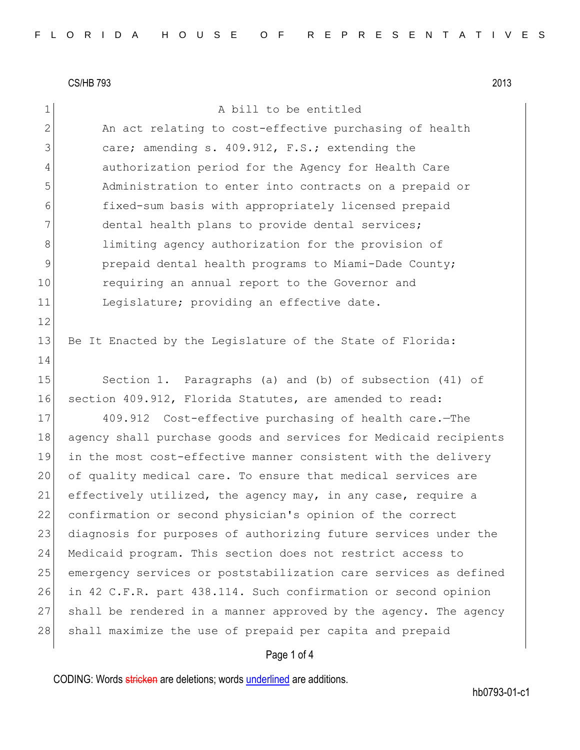1 a bill to be entitled

2 An act relating to cost-effective purchasing of health 3 care; amending s. 409.912, F.S.; extending the 4 authorization period for the Agency for Health Care 5 Administration to enter into contracts on a prepaid or 6 fixed-sum basis with appropriately licensed prepaid 7 dental health plans to provide dental services; 8 8 limiting agency authorization for the provision of 9 **prepaid dental health programs to Miami-Dade County;** 10 requiring an annual report to the Governor and 11 Legislature; providing an effective date. 12 13 Be It Enacted by the Legislature of the State of Florida: 14 15 Section 1. Paragraphs (a) and (b) of subsection (41) of 16 section 409.912, Florida Statutes, are amended to read: 17 409.912 Cost-effective purchasing of health care.—The 18 agency shall purchase goods and services for Medicaid recipients 19 in the most cost-effective manner consistent with the delivery 20 of quality medical care. To ensure that medical services are 21 effectively utilized, the agency may, in any case, require a 22 confirmation or second physician's opinion of the correct 23 diagnosis for purposes of authorizing future services under the 24 Medicaid program. This section does not restrict access to 25 emergency services or poststabilization care services as defined 26 in 42 C.F.R. part 438.114. Such confirmation or second opinion 27 shall be rendered in a manner approved by the agency. The agency 28 shall maximize the use of prepaid per capita and prepaid

# Page 1 of 4

CODING: Words stricken are deletions; words underlined are additions.

hb0793-01-c1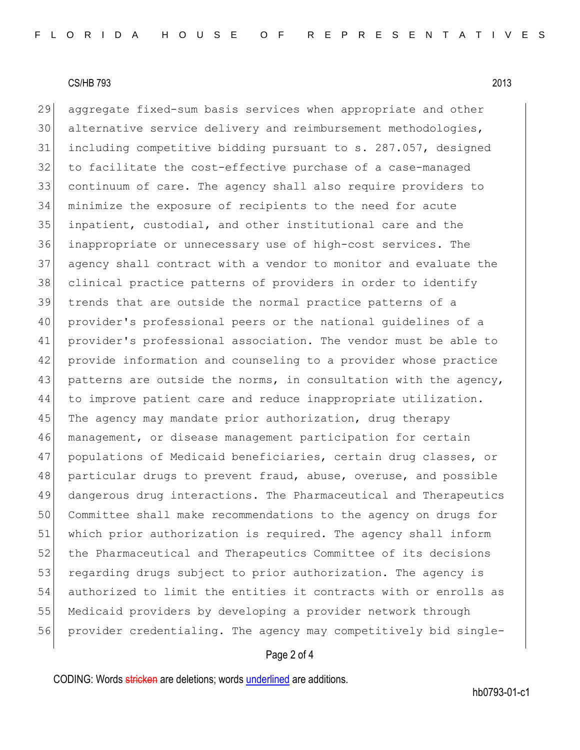aggregate fixed-sum basis services when appropriate and other alternative service delivery and reimbursement methodologies, including competitive bidding pursuant to s. 287.057, designed to facilitate the cost-effective purchase of a case-managed continuum of care. The agency shall also require providers to minimize the exposure of recipients to the need for acute inpatient, custodial, and other institutional care and the inappropriate or unnecessary use of high-cost services. The agency shall contract with a vendor to monitor and evaluate the clinical practice patterns of providers in order to identify trends that are outside the normal practice patterns of a provider's professional peers or the national guidelines of a provider's professional association. The vendor must be able to provide information and counseling to a provider whose practice 43 patterns are outside the norms, in consultation with the agency, to improve patient care and reduce inappropriate utilization. 45 The agency may mandate prior authorization, drug therapy management, or disease management participation for certain 47 populations of Medicaid beneficiaries, certain drug classes, or 48 particular drugs to prevent fraud, abuse, overuse, and possible dangerous drug interactions. The Pharmaceutical and Therapeutics Committee shall make recommendations to the agency on drugs for which prior authorization is required. The agency shall inform 52 the Pharmaceutical and Therapeutics Committee of its decisions 53 regarding drugs subject to prior authorization. The agency is authorized to limit the entities it contracts with or enrolls as Medicaid providers by developing a provider network through provider credentialing. The agency may competitively bid single-

## Page 2 of 4

CODING: Words stricken are deletions; words underlined are additions.

hb0793-01-c1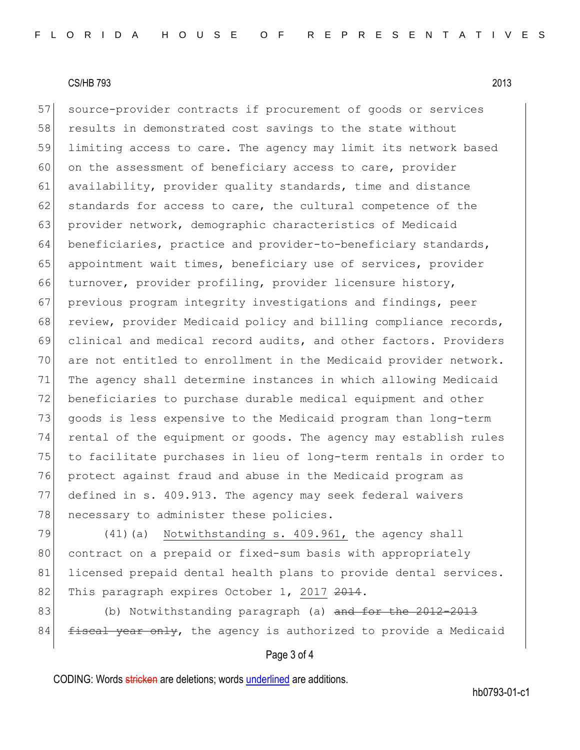57 source-provider contracts if procurement of goods or services 58 results in demonstrated cost savings to the state without 59 limiting access to care. The agency may limit its network based 60 on the assessment of beneficiary access to care, provider 61 availability, provider quality standards, time and distance 62 standards for access to care, the cultural competence of the 63 provider network, demographic characteristics of Medicaid 64 beneficiaries, practice and provider-to-beneficiary standards, 65 appointment wait times, beneficiary use of services, provider 66 turnover, provider profiling, provider licensure history, 67 previous program integrity investigations and findings, peer 68 review, provider Medicaid policy and billing compliance records, 69 clinical and medical record audits, and other factors. Providers 70 are not entitled to enrollment in the Medicaid provider network. 71 The agency shall determine instances in which allowing Medicaid 72 beneficiaries to purchase durable medical equipment and other 73 goods is less expensive to the Medicaid program than long-term 74 rental of the equipment or goods. The agency may establish rules 75 to facilitate purchases in lieu of long-term rentals in order to 76 protect against fraud and abuse in the Medicaid program as 77 defined in s. 409.913. The agency may seek federal waivers 78 | necessary to administer these policies.

79 (41) (a) Notwithstanding s. 409.961, the agency shall 80 contract on a prepaid or fixed-sum basis with appropriately 81 licensed prepaid dental health plans to provide dental services. 82 This paragraph expires October 1, 2017 2014.

83 (b) Notwithstanding paragraph (a) and for the 2012-2013  $84$  fiscal year only, the agency is authorized to provide a Medicaid

### Page 3 of 4

CODING: Words stricken are deletions; words underlined are additions.